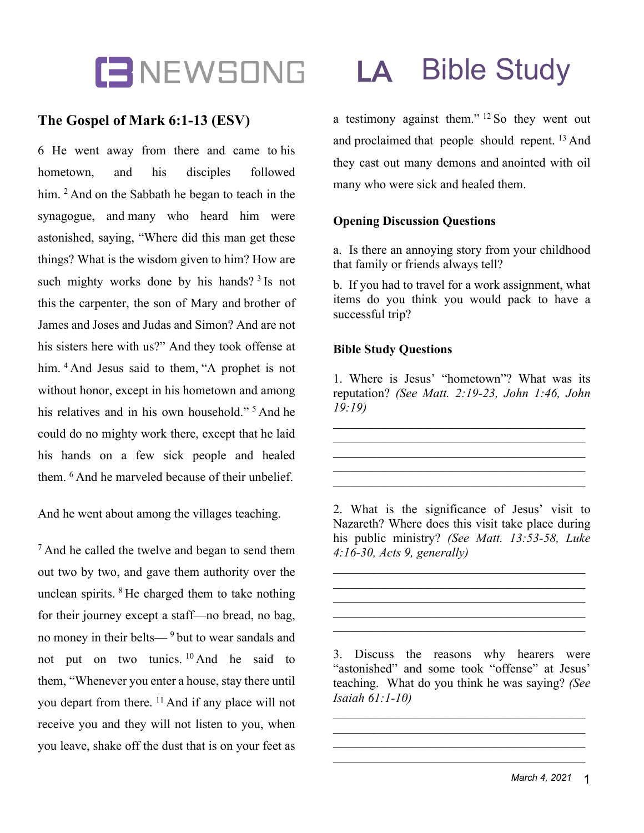

# **The Gospel of Mark 6:1-13 (ESV)**

6 He went away from there and came to his hometown, and his disciples followed him. <sup>2</sup> And on the Sabbath he began to teach in the synagogue, and many who heard him were astonished, saying, "Where did this man get these things? What is the wisdom given to him? How are such mighty works done by his hands?<sup>3</sup> Is not this the carpenter, the son of Mary and brother of James and Joses and Judas and Simon? And are not his sisters here with us?" And they took offense at him. <sup>4</sup> And Jesus said to them, "A prophet is not without honor, except in his hometown and among his relatives and in his own household."<sup>5</sup> And he could do no mighty work there, except that he laid his hands on a few sick people and healed them. <sup>6</sup> And he marveled because of their unbelief.

And he went about among the villages teaching.

<sup>7</sup> And he called the twelve and began to send them out two by two, and gave them authority over the unclean spirits. <sup>8</sup> He charged them to take nothing for their journey except a staff—no bread, no bag, no money in their belts— <sup>9</sup> but to wear sandals and not put on two tunics. <sup>10</sup> And he said to them, "Whenever you enter a house, stay there until you depart from there. <sup>11</sup> And if any place will not receive you and they will not listen to you, when you leave, shake off the dust that is on your feet as

a testimony against them." <sup>12</sup> So they went out and proclaimed that people should repent. <sup>13</sup> And they cast out many demons and anointed with oil many who were sick and healed them.

## **Opening Discussion Questions**

a. Is there an annoying story from your childhood that family or friends always tell?

b. If you had to travel for a work assignment, what items do you think you would pack to have a successful trip?

### **Bible Study Questions**

1. Where is Jesus' "hometown"? What was its reputation? *(See Matt. 2:19-23, John 1:46, John 19:19)*

2. What is the significance of Jesus' visit to Nazareth? Where does this visit take place during his public ministry? *(See Matt. 13:53-58, Luke 4:16-30, Acts 9, generally)*

3. Discuss the reasons why hearers were "astonished" and some took "offense" at Jesus' teaching. What do you think he was saying? *(See Isaiah 61:1-10)*